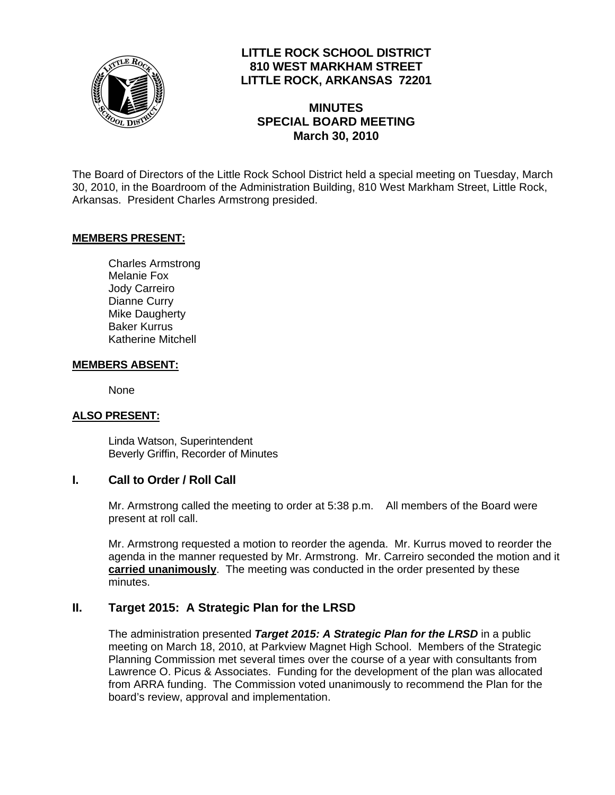

# **LITTLE ROCK SCHOOL DISTRICT 810 WEST MARKHAM STREET LITTLE ROCK, ARKANSAS 72201**

# **MINUTES SPECIAL BOARD MEETING March 30, 2010**

The Board of Directors of the Little Rock School District held a special meeting on Tuesday, March 30, 2010, in the Boardroom of the Administration Building, 810 West Markham Street, Little Rock, Arkansas. President Charles Armstrong presided.

### **MEMBERS PRESENT:**

Charles Armstrong Melanie Fox Jody Carreiro Dianne Curry Mike Daugherty Baker Kurrus Katherine Mitchell

#### **MEMBERS ABSENT:**

None

### **ALSO PRESENT:**

 Linda Watson, Superintendent Beverly Griffin, Recorder of Minutes

### **I. Call to Order / Roll Call**

Mr. Armstrong called the meeting to order at 5:38 p.m. All members of the Board were present at roll call.

Mr. Armstrong requested a motion to reorder the agenda. Mr. Kurrus moved to reorder the agenda in the manner requested by Mr. Armstrong. Mr. Carreiro seconded the motion and it **carried unanimously**. The meeting was conducted in the order presented by these minutes.

### **II. Target 2015: A Strategic Plan for the LRSD**

The administration presented *Target 2015: A Strategic Plan for the LRSD* in a public meeting on March 18, 2010, at Parkview Magnet High School. Members of the Strategic Planning Commission met several times over the course of a year with consultants from Lawrence O. Picus & Associates. Funding for the development of the plan was allocated from ARRA funding. The Commission voted unanimously to recommend the Plan for the board's review, approval and implementation.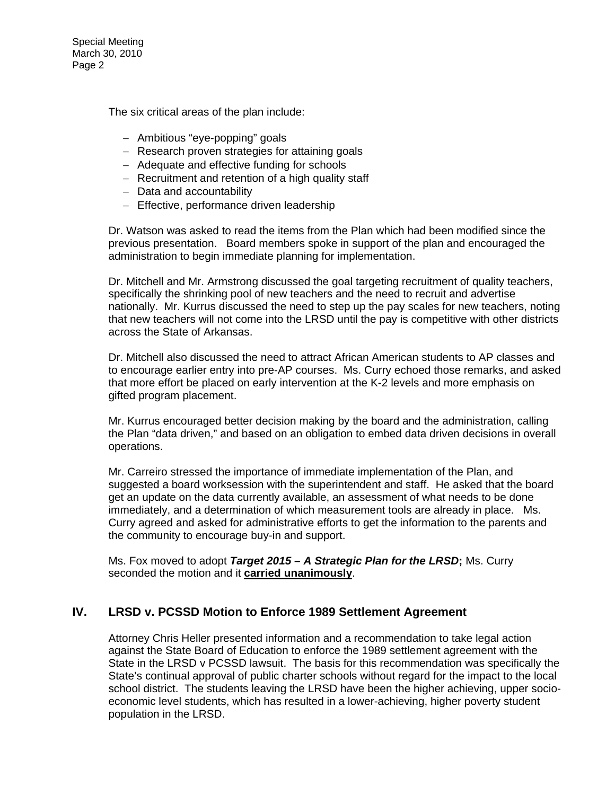Special Meeting March 30, 2010 Page 2

The six critical areas of the plan include:

- − Ambitious "eye-popping" goals
- − Research proven strategies for attaining goals
- − Adequate and effective funding for schools
- − Recruitment and retention of a high quality staff
- − Data and accountability
- − Effective, performance driven leadership

Dr. Watson was asked to read the items from the Plan which had been modified since the previous presentation. Board members spoke in support of the plan and encouraged the administration to begin immediate planning for implementation.

Dr. Mitchell and Mr. Armstrong discussed the goal targeting recruitment of quality teachers, specifically the shrinking pool of new teachers and the need to recruit and advertise nationally. Mr. Kurrus discussed the need to step up the pay scales for new teachers, noting that new teachers will not come into the LRSD until the pay is competitive with other districts across the State of Arkansas.

Dr. Mitchell also discussed the need to attract African American students to AP classes and to encourage earlier entry into pre-AP courses. Ms. Curry echoed those remarks, and asked that more effort be placed on early intervention at the K-2 levels and more emphasis on gifted program placement.

Mr. Kurrus encouraged better decision making by the board and the administration, calling the Plan "data driven," and based on an obligation to embed data driven decisions in overall operations.

Mr. Carreiro stressed the importance of immediate implementation of the Plan, and suggested a board worksession with the superintendent and staff. He asked that the board get an update on the data currently available, an assessment of what needs to be done immediately, and a determination of which measurement tools are already in place. Ms. Curry agreed and asked for administrative efforts to get the information to the parents and the community to encourage buy-in and support.

Ms. Fox moved to adopt *Target 2015 – A Strategic Plan for the LRSD***;** Ms. Curry seconded the motion and it **carried unanimously**.

## **IV. LRSD v. PCSSD Motion to Enforce 1989 Settlement Agreement**

Attorney Chris Heller presented information and a recommendation to take legal action against the State Board of Education to enforce the 1989 settlement agreement with the State in the LRSD v PCSSD lawsuit. The basis for this recommendation was specifically the State's continual approval of public charter schools without regard for the impact to the local school district. The students leaving the LRSD have been the higher achieving, upper socioeconomic level students, which has resulted in a lower-achieving, higher poverty student population in the LRSD.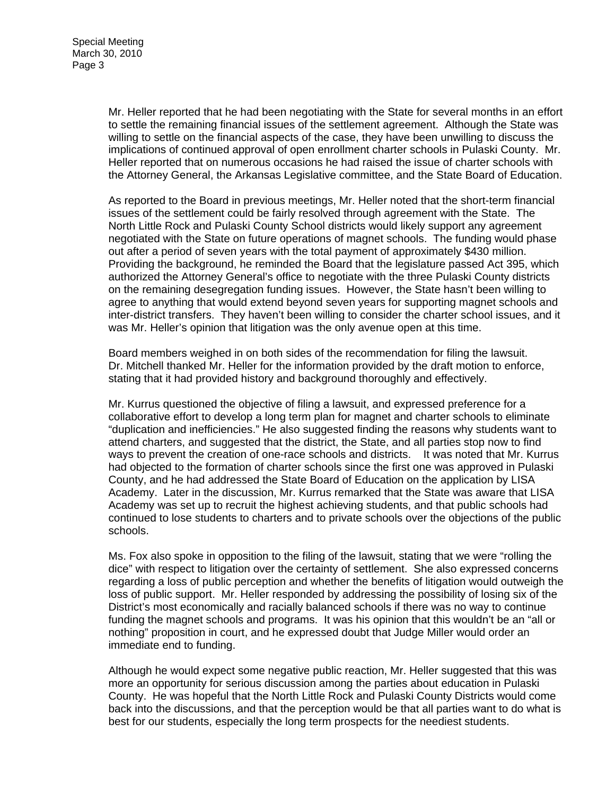Mr. Heller reported that he had been negotiating with the State for several months in an effort to settle the remaining financial issues of the settlement agreement. Although the State was willing to settle on the financial aspects of the case, they have been unwilling to discuss the implications of continued approval of open enrollment charter schools in Pulaski County. Mr. Heller reported that on numerous occasions he had raised the issue of charter schools with the Attorney General, the Arkansas Legislative committee, and the State Board of Education.

As reported to the Board in previous meetings, Mr. Heller noted that the short-term financial issues of the settlement could be fairly resolved through agreement with the State. The North Little Rock and Pulaski County School districts would likely support any agreement negotiated with the State on future operations of magnet schools. The funding would phase out after a period of seven years with the total payment of approximately \$430 million. Providing the background, he reminded the Board that the legislature passed Act 395, which authorized the Attorney General's office to negotiate with the three Pulaski County districts on the remaining desegregation funding issues. However, the State hasn't been willing to agree to anything that would extend beyond seven years for supporting magnet schools and inter-district transfers. They haven't been willing to consider the charter school issues, and it was Mr. Heller's opinion that litigation was the only avenue open at this time.

Board members weighed in on both sides of the recommendation for filing the lawsuit. Dr. Mitchell thanked Mr. Heller for the information provided by the draft motion to enforce, stating that it had provided history and background thoroughly and effectively.

Mr. Kurrus questioned the objective of filing a lawsuit, and expressed preference for a collaborative effort to develop a long term plan for magnet and charter schools to eliminate "duplication and inefficiencies." He also suggested finding the reasons why students want to attend charters, and suggested that the district, the State, and all parties stop now to find ways to prevent the creation of one-race schools and districts. It was noted that Mr. Kurrus had objected to the formation of charter schools since the first one was approved in Pulaski County, and he had addressed the State Board of Education on the application by LISA Academy. Later in the discussion, Mr. Kurrus remarked that the State was aware that LISA Academy was set up to recruit the highest achieving students, and that public schools had continued to lose students to charters and to private schools over the objections of the public schools.

Ms. Fox also spoke in opposition to the filing of the lawsuit, stating that we were "rolling the dice" with respect to litigation over the certainty of settlement. She also expressed concerns regarding a loss of public perception and whether the benefits of litigation would outweigh the loss of public support. Mr. Heller responded by addressing the possibility of losing six of the District's most economically and racially balanced schools if there was no way to continue funding the magnet schools and programs. It was his opinion that this wouldn't be an "all or nothing" proposition in court, and he expressed doubt that Judge Miller would order an immediate end to funding.

Although he would expect some negative public reaction, Mr. Heller suggested that this was more an opportunity for serious discussion among the parties about education in Pulaski County. He was hopeful that the North Little Rock and Pulaski County Districts would come back into the discussions, and that the perception would be that all parties want to do what is best for our students, especially the long term prospects for the neediest students.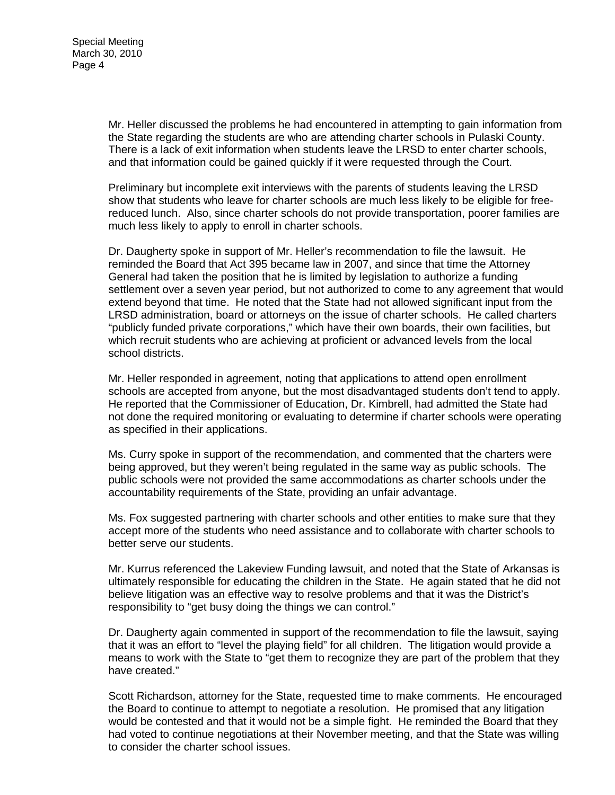Mr. Heller discussed the problems he had encountered in attempting to gain information from the State regarding the students are who are attending charter schools in Pulaski County. There is a lack of exit information when students leave the LRSD to enter charter schools, and that information could be gained quickly if it were requested through the Court.

Preliminary but incomplete exit interviews with the parents of students leaving the LRSD show that students who leave for charter schools are much less likely to be eligible for freereduced lunch. Also, since charter schools do not provide transportation, poorer families are much less likely to apply to enroll in charter schools.

Dr. Daugherty spoke in support of Mr. Heller's recommendation to file the lawsuit. He reminded the Board that Act 395 became law in 2007, and since that time the Attorney General had taken the position that he is limited by legislation to authorize a funding settlement over a seven year period, but not authorized to come to any agreement that would extend beyond that time. He noted that the State had not allowed significant input from the LRSD administration, board or attorneys on the issue of charter schools. He called charters "publicly funded private corporations," which have their own boards, their own facilities, but which recruit students who are achieving at proficient or advanced levels from the local school districts.

Mr. Heller responded in agreement, noting that applications to attend open enrollment schools are accepted from anyone, but the most disadvantaged students don't tend to apply. He reported that the Commissioner of Education, Dr. Kimbrell, had admitted the State had not done the required monitoring or evaluating to determine if charter schools were operating as specified in their applications.

Ms. Curry spoke in support of the recommendation, and commented that the charters were being approved, but they weren't being regulated in the same way as public schools. The public schools were not provided the same accommodations as charter schools under the accountability requirements of the State, providing an unfair advantage.

Ms. Fox suggested partnering with charter schools and other entities to make sure that they accept more of the students who need assistance and to collaborate with charter schools to better serve our students.

Mr. Kurrus referenced the Lakeview Funding lawsuit, and noted that the State of Arkansas is ultimately responsible for educating the children in the State. He again stated that he did not believe litigation was an effective way to resolve problems and that it was the District's responsibility to "get busy doing the things we can control."

Dr. Daugherty again commented in support of the recommendation to file the lawsuit, saying that it was an effort to "level the playing field" for all children. The litigation would provide a means to work with the State to "get them to recognize they are part of the problem that they have created."

Scott Richardson, attorney for the State, requested time to make comments. He encouraged the Board to continue to attempt to negotiate a resolution. He promised that any litigation would be contested and that it would not be a simple fight. He reminded the Board that they had voted to continue negotiations at their November meeting, and that the State was willing to consider the charter school issues.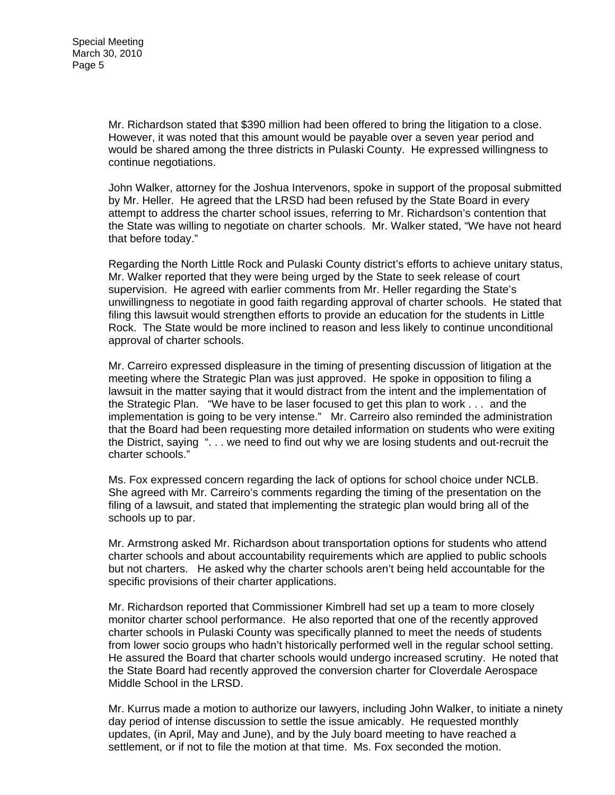Mr. Richardson stated that \$390 million had been offered to bring the litigation to a close. However, it was noted that this amount would be payable over a seven year period and would be shared among the three districts in Pulaski County. He expressed willingness to continue negotiations.

John Walker, attorney for the Joshua Intervenors, spoke in support of the proposal submitted by Mr. Heller. He agreed that the LRSD had been refused by the State Board in every attempt to address the charter school issues, referring to Mr. Richardson's contention that the State was willing to negotiate on charter schools. Mr. Walker stated, "We have not heard that before today."

Regarding the North Little Rock and Pulaski County district's efforts to achieve unitary status, Mr. Walker reported that they were being urged by the State to seek release of court supervision. He agreed with earlier comments from Mr. Heller regarding the State's unwillingness to negotiate in good faith regarding approval of charter schools. He stated that filing this lawsuit would strengthen efforts to provide an education for the students in Little Rock. The State would be more inclined to reason and less likely to continue unconditional approval of charter schools.

Mr. Carreiro expressed displeasure in the timing of presenting discussion of litigation at the meeting where the Strategic Plan was just approved. He spoke in opposition to filing a lawsuit in the matter saying that it would distract from the intent and the implementation of the Strategic Plan. "We have to be laser focused to get this plan to work . . . and the implementation is going to be very intense." Mr. Carreiro also reminded the administration that the Board had been requesting more detailed information on students who were exiting the District, saying ". . . we need to find out why we are losing students and out-recruit the charter schools."

Ms. Fox expressed concern regarding the lack of options for school choice under NCLB. She agreed with Mr. Carreiro's comments regarding the timing of the presentation on the filing of a lawsuit, and stated that implementing the strategic plan would bring all of the schools up to par.

Mr. Armstrong asked Mr. Richardson about transportation options for students who attend charter schools and about accountability requirements which are applied to public schools but not charters. He asked why the charter schools aren't being held accountable for the specific provisions of their charter applications.

Mr. Richardson reported that Commissioner Kimbrell had set up a team to more closely monitor charter school performance. He also reported that one of the recently approved charter schools in Pulaski County was specifically planned to meet the needs of students from lower socio groups who hadn't historically performed well in the regular school setting. He assured the Board that charter schools would undergo increased scrutiny. He noted that the State Board had recently approved the conversion charter for Cloverdale Aerospace Middle School in the LRSD.

Mr. Kurrus made a motion to authorize our lawyers, including John Walker, to initiate a ninety day period of intense discussion to settle the issue amicably. He requested monthly updates, (in April, May and June), and by the July board meeting to have reached a settlement, or if not to file the motion at that time. Ms. Fox seconded the motion.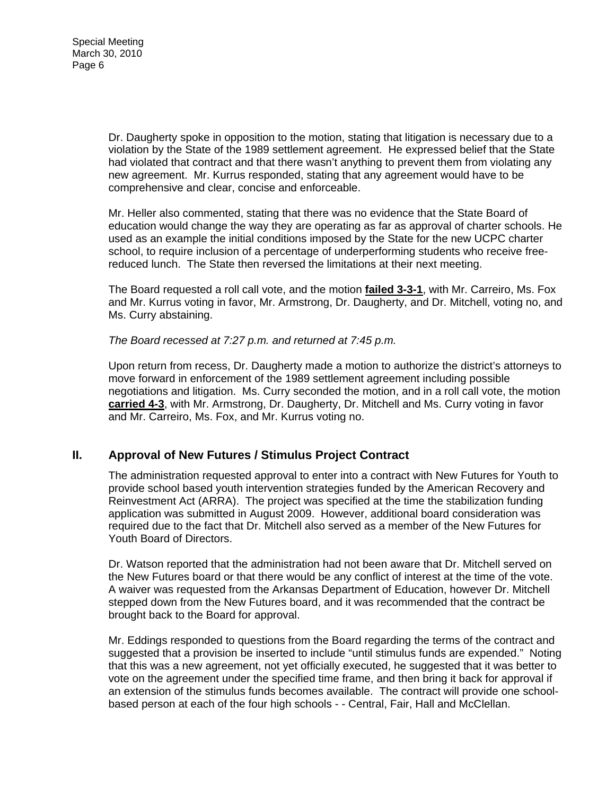Dr. Daugherty spoke in opposition to the motion, stating that litigation is necessary due to a violation by the State of the 1989 settlement agreement. He expressed belief that the State had violated that contract and that there wasn't anything to prevent them from violating any new agreement. Mr. Kurrus responded, stating that any agreement would have to be comprehensive and clear, concise and enforceable.

Mr. Heller also commented, stating that there was no evidence that the State Board of education would change the way they are operating as far as approval of charter schools. He used as an example the initial conditions imposed by the State for the new UCPC charter school, to require inclusion of a percentage of underperforming students who receive freereduced lunch. The State then reversed the limitations at their next meeting.

The Board requested a roll call vote, and the motion **failed 3-3-1**, with Mr. Carreiro, Ms. Fox and Mr. Kurrus voting in favor, Mr. Armstrong, Dr. Daugherty, and Dr. Mitchell, voting no, and Ms. Curry abstaining.

*The Board recessed at 7:27 p.m. and returned at 7:45 p.m.* 

Upon return from recess, Dr. Daugherty made a motion to authorize the district's attorneys to move forward in enforcement of the 1989 settlement agreement including possible negotiations and litigation. Ms. Curry seconded the motion, and in a roll call vote, the motion **carried 4-3**, with Mr. Armstrong, Dr. Daugherty, Dr. Mitchell and Ms. Curry voting in favor and Mr. Carreiro, Ms. Fox, and Mr. Kurrus voting no.

## **II. Approval of New Futures / Stimulus Project Contract**

The administration requested approval to enter into a contract with New Futures for Youth to provide school based youth intervention strategies funded by the American Recovery and Reinvestment Act (ARRA). The project was specified at the time the stabilization funding application was submitted in August 2009. However, additional board consideration was required due to the fact that Dr. Mitchell also served as a member of the New Futures for Youth Board of Directors.

Dr. Watson reported that the administration had not been aware that Dr. Mitchell served on the New Futures board or that there would be any conflict of interest at the time of the vote. A waiver was requested from the Arkansas Department of Education, however Dr. Mitchell stepped down from the New Futures board, and it was recommended that the contract be brought back to the Board for approval.

Mr. Eddings responded to questions from the Board regarding the terms of the contract and suggested that a provision be inserted to include "until stimulus funds are expended." Noting that this was a new agreement, not yet officially executed, he suggested that it was better to vote on the agreement under the specified time frame, and then bring it back for approval if an extension of the stimulus funds becomes available. The contract will provide one schoolbased person at each of the four high schools - - Central, Fair, Hall and McClellan.